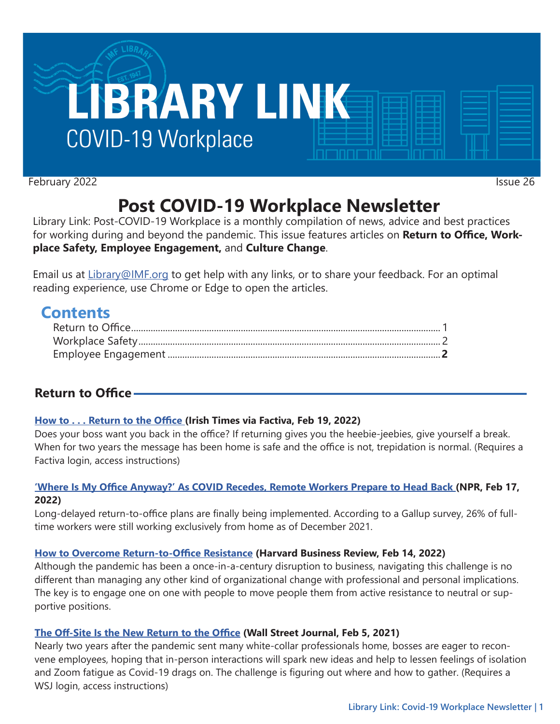

February 2022 Issue 26

# **Post COVID-19 Workplace Newsletter**

Library Link: Post-COVID-19 Workplace is a monthly compilation of news, advice and best practices for working during and beyond the pandemic. This issue features articles on **Return to Office, Workplace Safety, Employee Engagement,** and **Culture Change**.

Email us at [Library@IMF.org](mailto:Library%40IMF.org?subject=) to get help with any links, or to share your feedback. For an optimal reading experience, use Chrome or Edge to open the articles.

# **Contents**

## **Return to Office**

### **[How to . . . Return to the Office](http://t.imfconnect.imf.org/r/?id=h6d17ba,3386de8,3387a5f) (Irish Times via Factiva, Feb 19, 2022)**

Does your boss want you back in the office? If returning gives you the heebie-jeebies, give yourself a break. When for two years the message has been home is safe and the office is not, trepidation is normal. (Requires a Factiva login, access instructions)

### **['Where Is My Office Anyway?' As COVID Recedes, Remote Workers Prepare to Head Back](http://t.imfconnect.imf.org/r/?id=h6d17ba,3386de8,3387a6c) (NPR, Feb 17, 2022)**

Long-delayed return-to-office plans are finally being implemented. According to a Gallup survey, 26% of fulltime workers were still working exclusively from home as of December 2021.

### **[How to Overcome Return-to-Office Resistance](http://t.imfconnect.imf.org/r/?id=h6d17ba,3386de8,3387a6d) (Harvard Business Review, Feb 14, 2022)**

Although the pandemic has been a once-in-a-century disruption to business, navigating this challenge is no different than managing any other kind of organizational change with professional and personal implications. The key is to engage one on one with people to move people them from active resistance to neutral or supportive positions.

### **[The Off-Site Is the New Return to the Office](http://t.imfconnect.imf.org/r/?id=h6d17ba,3386de8,3387a6e) (Wall Street Journal, Feb 5, 2021)**

Nearly two years after the pandemic sent many white-collar professionals home, bosses are eager to reconvene employees, hoping that in-person interactions will spark new ideas and help to lessen feelings of isolation and Zoom fatigue as Covid-19 drags on. The challenge is figuring out where and how to gather. (Requires a WSJ login, access instructions)